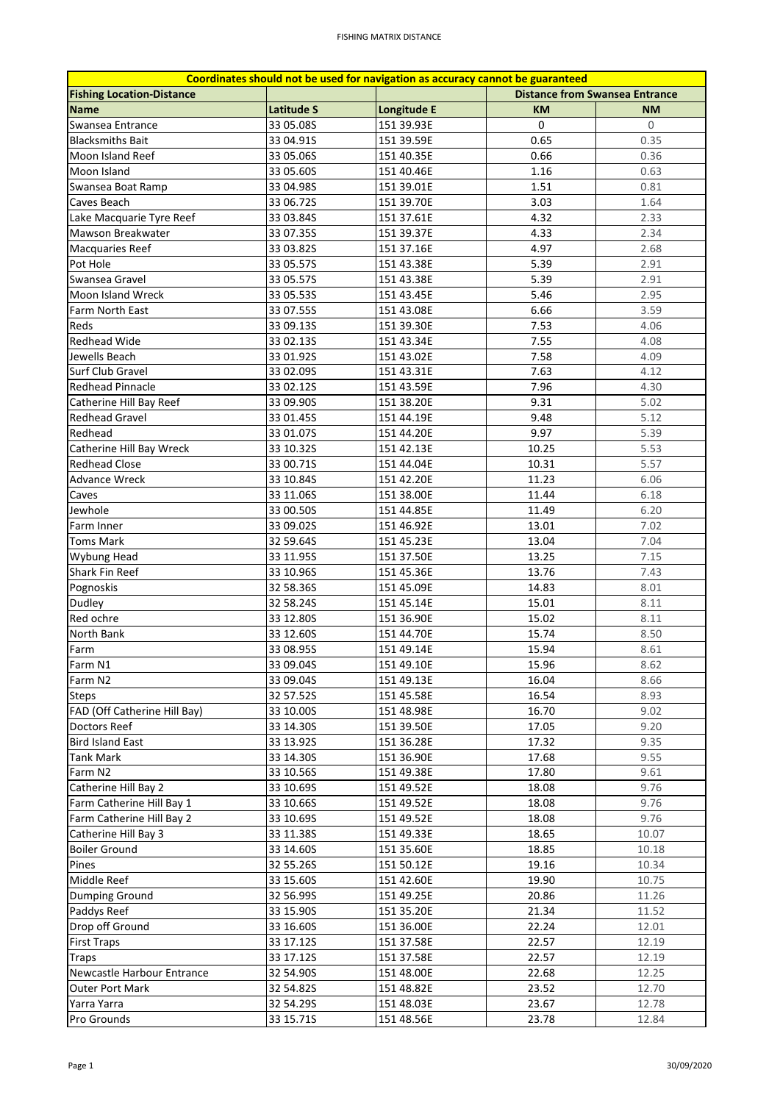| Coordinates should not be used for navigation as accuracy cannot be guaranteed |                   |             |                                       |           |  |  |  |
|--------------------------------------------------------------------------------|-------------------|-------------|---------------------------------------|-----------|--|--|--|
| <b>Fishing Location-Distance</b>                                               |                   |             | <b>Distance from Swansea Entrance</b> |           |  |  |  |
| <b>Name</b>                                                                    | <b>Latitude S</b> | Longitude E | <b>KM</b>                             | <b>NM</b> |  |  |  |
| Swansea Entrance                                                               | 33 05.08S         | 151 39.93E  | $\mathbf 0$                           | 0         |  |  |  |
| <b>Blacksmiths Bait</b>                                                        | 33 04.91S         | 151 39.59E  | 0.65                                  | 0.35      |  |  |  |
| Moon Island Reef                                                               | 33 05.06S         | 151 40.35E  | 0.66                                  | 0.36      |  |  |  |
| Moon Island                                                                    | 33 05.60S         | 151 40.46E  | 1.16                                  | 0.63      |  |  |  |
| Swansea Boat Ramp                                                              | 33 04.98S         | 151 39.01E  | 1.51                                  | 0.81      |  |  |  |
| Caves Beach                                                                    | 33 06.72S         | 151 39.70E  | 3.03                                  | 1.64      |  |  |  |
| Lake Macquarie Tyre Reef                                                       | 33 03.84S         | 151 37.61E  | 4.32                                  | 2.33      |  |  |  |
| Mawson Breakwater                                                              | 33 07.35S         | 151 39.37E  | 4.33                                  | 2.34      |  |  |  |
| Macquaries Reef                                                                | 33 03.82S         | 151 37.16E  | 4.97                                  | 2.68      |  |  |  |
| Pot Hole                                                                       | 33 05.57S         | 151 43.38E  | 5.39                                  | 2.91      |  |  |  |
| Swansea Gravel                                                                 | 33 05.57S         | 151 43.38E  | 5.39                                  | 2.91      |  |  |  |
| Moon Island Wreck                                                              | 33 05.53S         | 151 43.45E  | 5.46                                  | 2.95      |  |  |  |
| Farm North East                                                                | 33 07.55S         | 151 43.08E  | 6.66                                  | 3.59      |  |  |  |
| Reds                                                                           | 33 09.135         | 151 39.30E  | 7.53                                  | 4.06      |  |  |  |
| <b>Redhead Wide</b>                                                            | 33 02.135         | 151 43.34E  | 7.55                                  | 4.08      |  |  |  |
| Jewells Beach                                                                  | 33 01.92S         | 151 43.02E  | 7.58                                  | 4.09      |  |  |  |
| Surf Club Gravel                                                               | 33 02.09S         | 151 43.31E  | 7.63                                  | 4.12      |  |  |  |
| <b>Redhead Pinnacle</b>                                                        | 33 02.125         | 151 43.59E  | 7.96                                  | 4.30      |  |  |  |
|                                                                                |                   |             |                                       |           |  |  |  |
| Catherine Hill Bay Reef                                                        | 33 09.90S         | 151 38.20E  | 9.31                                  | 5.02      |  |  |  |
| <b>Redhead Gravel</b>                                                          | 33 01.45S         | 151 44.19E  | 9.48                                  | 5.12      |  |  |  |
| Redhead                                                                        | 33 01.07S         | 151 44.20E  | 9.97                                  | 5.39      |  |  |  |
| Catherine Hill Bay Wreck                                                       | 33 10.32S         | 151 42.13E  | 10.25                                 | 5.53      |  |  |  |
| <b>Redhead Close</b>                                                           | 33 00.71S         | 151 44.04E  | 10.31                                 | 5.57      |  |  |  |
| <b>Advance Wreck</b>                                                           | 33 10.84S         | 151 42.20E  | 11.23                                 | 6.06      |  |  |  |
| Caves                                                                          | 33 11.06S         | 151 38.00E  | 11.44                                 | 6.18      |  |  |  |
| Jewhole                                                                        | 33 00.50S         | 151 44.85E  | 11.49                                 | 6.20      |  |  |  |
| Farm Inner                                                                     | 33 09.02S         | 151 46.92E  | 13.01                                 | 7.02      |  |  |  |
| <b>Toms Mark</b>                                                               | 32 59.64S         | 151 45.23E  | 13.04                                 | 7.04      |  |  |  |
| Wybung Head                                                                    | 33 11.95S         | 151 37.50E  | 13.25                                 | 7.15      |  |  |  |
| Shark Fin Reef                                                                 | 33 10.96S         | 151 45.36E  | 13.76                                 | 7.43      |  |  |  |
| Pognoskis                                                                      | 32 58.36S         | 151 45.09E  | 14.83                                 | 8.01      |  |  |  |
| Dudley                                                                         | 32 58.24S         | 151 45.14E  | 15.01                                 | 8.11      |  |  |  |
| Red ochre                                                                      | 33 12.80S         | 151 36.90E  | 15.02                                 | 8.11      |  |  |  |
| North Bank                                                                     | 33 12.60S         | 151 44.70E  | 15.74                                 | 8.50      |  |  |  |
| Farm                                                                           | 33 08.95S         | 151 49.14E  | 15.94                                 | 8.61      |  |  |  |
| Farm N1                                                                        | 33 09.04S         | 151 49.10E  | 15.96                                 | 8.62      |  |  |  |
| Farm N2                                                                        | 33 09.04S         | 151 49.13E  | 16.04                                 | 8.66      |  |  |  |
| <b>Steps</b>                                                                   | 32 57.52S         | 151 45.58E  | 16.54                                 | 8.93      |  |  |  |
| FAD (Off Catherine Hill Bay)                                                   | 33 10.00S         | 151 48.98E  | 16.70                                 | 9.02      |  |  |  |
| Doctors Reef                                                                   | 33 14.30S         | 151 39.50E  | 17.05                                 | 9.20      |  |  |  |
| <b>Bird Island East</b>                                                        | 33 13.92S         | 151 36.28E  | 17.32                                 | 9.35      |  |  |  |
| Tank Mark                                                                      | 33 14.30S         | 151 36.90E  | 17.68                                 | 9.55      |  |  |  |
| Farm N2                                                                        | 33 10.56S         | 151 49.38E  | 17.80                                 | 9.61      |  |  |  |
| Catherine Hill Bay 2                                                           | 33 10.69S         | 151 49.52E  | 18.08                                 | 9.76      |  |  |  |
| Farm Catherine Hill Bay 1                                                      | 33 10.66S         | 151 49.52E  | 18.08                                 | 9.76      |  |  |  |
| Farm Catherine Hill Bay 2                                                      | 33 10.69S         | 151 49.52E  | 18.08                                 | 9.76      |  |  |  |
| Catherine Hill Bay 3                                                           | 33 11.38S         | 151 49.33E  | 18.65                                 | 10.07     |  |  |  |
| <b>Boiler Ground</b>                                                           | 33 14.60S         | 151 35.60E  | 18.85                                 | 10.18     |  |  |  |
| Pines                                                                          | 32 55.26S         | 151 50.12E  | 19.16                                 | 10.34     |  |  |  |
| Middle Reef                                                                    | 33 15.60S         | 151 42.60E  | 19.90                                 | 10.75     |  |  |  |
| Dumping Ground                                                                 | 32 56.99S         | 151 49.25E  | 20.86                                 | 11.26     |  |  |  |
| Paddys Reef                                                                    | 33 15.90S         | 151 35.20E  | 21.34                                 | 11.52     |  |  |  |
| Drop off Ground                                                                | 33 16.60S         | 151 36.00E  | 22.24                                 | 12.01     |  |  |  |
| <b>First Traps</b>                                                             |                   |             |                                       |           |  |  |  |
|                                                                                | 33 17.12S         | 151 37.58E  | 22.57                                 | 12.19     |  |  |  |
| Traps                                                                          | 33 17.12S         | 151 37.58E  | 22.57                                 | 12.19     |  |  |  |
| Newcastle Harbour Entrance                                                     | 32 54.90S         | 151 48.00E  | 22.68                                 | 12.25     |  |  |  |
| <b>Outer Port Mark</b>                                                         | 32 54.82S         | 151 48.82E  | 23.52                                 | 12.70     |  |  |  |
| Yarra Yarra                                                                    | 32 54.29S         | 151 48.03E  | 23.67                                 | 12.78     |  |  |  |
| Pro Grounds                                                                    | 33 15.71S         | 151 48.56E  | 23.78                                 | 12.84     |  |  |  |